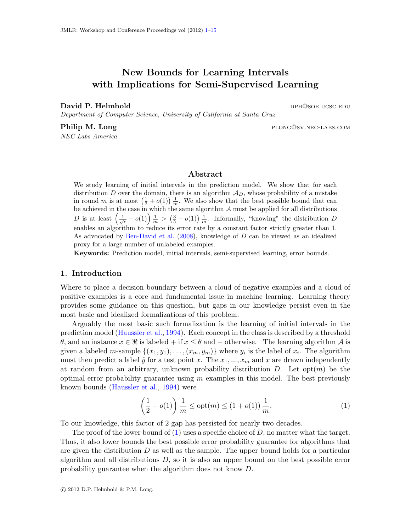# New Bounds for Learning Intervals with Implications for Semi-Supervised Learning

David P. Helmbold dph and the contract of the person of the person of the person of the person of the person of the person of the person of the person of the person of the person of the person of the person of the person o

Department of Computer Science, University of California at Santa Cruz

NEC Labs America

**Philip M. Long** plong plong plong plong plong plong plong plong plong plong plong plong plong plong plong plong plong plong plong plong plong plong plong plong plong plong plong plong plong plong plong plong plong plong p

# Abstract

We study learning of initial intervals in the prediction model. We show that for each distribution D over the domain, there is an algorithm  $\mathcal{A}_D$ , whose probability of a mistake in round m is at most  $(\frac{1}{2} + o(1)) \frac{1}{m}$ . We also show that the best possible bound that can be achieved in the case in which the same algorithm  $A$  must be applied for all distributions D is at least  $\left(\frac{1}{\sqrt{e}}-o(1)\right)\frac{1}{m} > \left(\frac{3}{5}-o(1)\right)\frac{1}{m}$ . Informally, "knowing" the distribution D enables an algorithm to reduce its error rate by a constant factor strictly greater than 1. As advocated by [Ben-David et al.](#page-12-0) [\(2008\)](#page-12-0), knowledge of D can be viewed as an idealized proxy for a large number of unlabeled examples.

Keywords: Prediction model, initial intervals, semi-supervised learning, error bounds.

#### 1. Introduction

Where to place a decision boundary between a cloud of negative examples and a cloud of positive examples is a core and fundamental issue in machine learning. Learning theory provides some guidance on this question, but gaps in our knowledge persist even in the most basic and idealized formalizations of this problem.

Arguably the most basic such formalization is the learning of initial intervals in the prediction model [\(Haussler et al.,](#page-12-1) [1994\)](#page-12-1). Each concept in the class is described by a threshold θ, and an instance  $x \in \Re$  is labeled + if  $x \le θ$  and – otherwise. The learning algorithm  $\mathcal A$  is given a labeled m-sample  $\{(x_1,y_1),\ldots,(x_m,y_m)\}$  where  $y_i$  is the label of  $x_i$ . The algorithm must then predict a label  $\hat{y}$  for a test point x. The  $x_1, ..., x_m$  and x are drawn independently at random from an arbitrary, unknown probability distribution  $D$ . Let opt $(m)$  be the optimal error probability guarantee using  $m$  examples in this model. The best previously known bounds [\(Haussler et al.,](#page-12-1) [1994\)](#page-12-1) were

<span id="page-0-0"></span>
$$
\left(\frac{1}{2} - o(1)\right) \frac{1}{m} \le \text{opt}(m) \le (1 + o(1)) \frac{1}{m}.\tag{1}
$$

To our knowledge, this factor of 2 gap has persisted for nearly two decades.

The proof of the lower bound of  $(1)$  uses a specific choice of D, no matter what the target. Thus, it also lower bounds the best possible error probability guarantee for algorithms that are given the distribution  $D$  as well as the sample. The upper bound holds for a particular algorithm and all distributions  $D$ , so it is also an upper bound on the best possible error probability guarantee when the algorithm does not know D.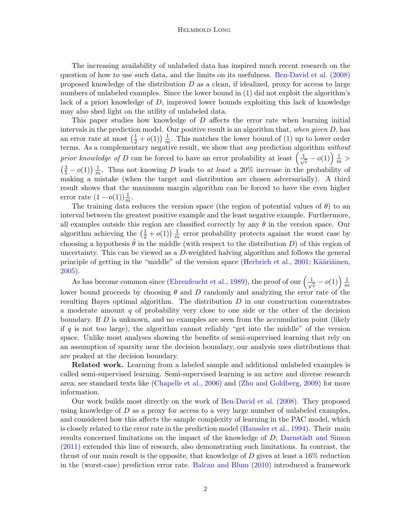#### Helmbold Long

The increasing availability of unlabeled data has inspired much recent research on the question of how to use such data, and the limits on its usefulness. [Ben-David et al.](#page-12-0) [\(2008\)](#page-12-0) proposed knowledge of the distribution  $D$  as a clean, if idealized, proxy for access to large numbers of unlabeled examples. Since the lower bound in  $(1)$  did not exploit the algorithm's lack of a priori knowledge of D, improved lower bounds exploiting this lack of knowledge may also shed light on the utility of unlabeled data.

This paper studies how knowledge of D affects the error rate when learning initial intervals in the prediction model. Our positive result is an algorithm that, when given  $D$ , has an error rate at most  $\left(\frac{1}{2} + o(1)\right) \frac{1}{m}$  $\frac{1}{m}$ . This matches the lower bound of [\(1\)](#page-0-0) up to lower order terms. As a complementary negative result, we show that any prediction algorithm without prior knowledge of D can be forced to have an error probability at least  $\left(\frac{1}{\sqrt{2}}\right)$  $\frac{1}{e} - o(1) \frac{1}{m} >$  $\left(\frac{3}{5} - o(1)\right) \frac{1}{m}$  $\frac{1}{m}$ . Thus not knowing D leads to at least a 20% increase in the probability of making a mistake (when the target and distribution are chosen adversarially). A third result shows that the maximum margin algorithm can be forced to have the even higher error rate  $(1 - o(1))\frac{1}{m}$ .

The training data reduces the version space (the region of potential values of  $\theta$ ) to an interval between the greatest positive example and the least negative example. Furthermore, all examples outside this region are classified correctly by any  $\theta$  in the version space. Our algorithm achieving the  $\left(\frac{1}{2}+o(1)\right)\frac{1}{m}$  $\frac{1}{m}$  error probability protects against the worst case by choosing a hypothesis  $\hat{\theta}$  in the middle (with respect to the distribution D) of this region of uncertainty. This can be viewed as a  $D$ -weighted halving algorithm and follows the general principle of getting in the "middle" of the version space [\(Herbrich et al.,](#page-12-2) [2001;](#page-12-2) Kääriäinen, [2005\)](#page-12-3).

As has become common since [\(Ehrenfeucht et al.,](#page-12-4) [1989\)](#page-12-4), the proof of our  $\left(\frac{1}{\sqrt{2}}\right)$  $\frac{1}{e} - o(1) \Big) \frac{1}{m}$ m lower bound proceeds by choosing  $\theta$  and D randomly and analyzing the error rate of the resulting Bayes optimal algorithm. The distribution  $D$  in our construction concentrates a moderate amount  $q$  of probability very close to one side or the other of the decision boundary. If  $D$  is unknown, and no examples are seen from the accumulation point (likely if q is not too large), the algorithm cannot reliably "get into the middle" of the version space. Unlike most analyses showing the benefits of semi-supervised learning that rely on an assumption of sparsity near the decision boundary, our analysis uses distributions that are peaked at the decision boundary.

Related work. Learning from a labeled sample and additional unlabeled examples is called semi-supervised learning. Semi-supervised learning is an active and diverse research area; see standard texts like [\(Chapelle et al.,](#page-12-5) [2006\)](#page-12-5) and [\(Zhu and Goldberg,](#page-12-6) [2009\)](#page-12-6) for more information.

Our work builds most directly on the work of [Ben-David et al.](#page-12-0) [\(2008\)](#page-12-0). They proposed using knowledge of  $D$  as a proxy for access to a very large number of unlabeled examples, and considered how this affects the sample complexity of learning in the PAC model, which is closely related to the error rate in the prediction model [\(Haussler et al.,](#page-12-1) [1994\)](#page-12-1). Their main results concerned limitations on the impact of the knowledge of  $D$ ; Darnstädt and Simon [\(2011\)](#page-12-7) extended this line of research, also demonstrating such limitations. In contrast, the thrust of our main result is the opposite, that knowledge of  $D$  gives at least a 16% reduction in the (worst-case) prediction error rate. [Balcan and Blum](#page-12-8) [\(2010\)](#page-12-8) introduced a framework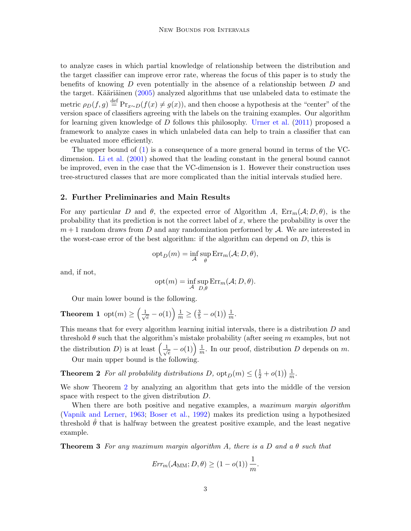to analyze cases in which partial knowledge of relationship between the distribution and the target classifier can improve error rate, whereas the focus of this paper is to study the benefits of knowing  $D$  even potentially in the absence of a relationship between  $D$  and the target. Kääriäinen  $(2005)$  analyzed algorithms that use unlabeled data to estimate the metric  $\rho_D(f,g) \stackrel{\text{def}}{=} \Pr_{x \sim D}(f(x) \neq g(x))$ , and then choose a hypothesis at the "center" of the version space of classifiers agreeing with the labels on the training examples. Our algorithm for learning given knowledge of D follows this philosophy. [Urner et al.](#page-12-9) [\(2011\)](#page-12-9) proposed a framework to analyze cases in which unlabeled data can help to train a classifier that can be evaluated more efficiently.

The upper bound of [\(1\)](#page-0-0) is a consequence of a more general bound in terms of the VCdimension. [Li et al.](#page-12-10) [\(2001\)](#page-12-10) showed that the leading constant in the general bound cannot be improved, even in the case that the VC-dimension is 1. However their construction uses tree-structured classes that are more complicated than the initial intervals studied here.

#### 2. Further Preliminaries and Main Results

For any particular D and  $\theta$ , the expected error of Algorithm A,  $Err_m(\mathcal{A}; D, \theta)$ , is the probability that its prediction is not the correct label of  $x$ , where the probability is over the  $m+1$  random draws from D and any randomization performed by A. We are interested in the worst-case error of the best algorithm: if the algorithm can depend on  $D$ , this is

$$
opt_D(m) = \inf_{\mathcal{A}} \sup_{\theta} Err_m(\mathcal{A}; D, \theta),
$$

and, if not,

<span id="page-2-1"></span><span id="page-2-0"></span>
$$
opt(m) = \inf_{\mathcal{A}} \sup_{D,\theta} Err_m(\mathcal{A}; D, \theta).
$$

Our main lower bound is the following.

**Theorem 1** opt(*m*) 
$$
\geq \left(\frac{1}{\sqrt{e}}-o(1)\right)\frac{1}{m} \geq \left(\frac{3}{5}-o(1)\right)\frac{1}{m}
$$
.

This means that for every algorithm learning initial intervals, there is a distribution D and threshold  $\theta$  such that the algorithm's mistake probability (after seeing m examples, but not the distribution D) is at least  $\left(\frac{1}{\sqrt{2}}\right)$  $\frac{1}{e} - o(1) \Big) \frac{1}{m}$  $\frac{1}{m}$ . In our proof, distribution D depends on m. Our main upper bound is the following.

**Theorem 2** For all probability distributions D,  $\text{opt}_D(m) \leq (\frac{1}{2} + o(1)) \frac{1}{m}$  $\frac{1}{m}$ .

We show Theorem [2](#page-2-0) by analyzing an algorithm that gets into the middle of the version space with respect to the given distribution D.

When there are both positive and negative examples, a maximum margin algorithm [\(Vapnik and Lerner,](#page-12-11) [1963;](#page-12-11) [Boser et al.,](#page-12-12) [1992\)](#page-12-12) makes its prediction using a hypothesized threshold  $\theta$  that is halfway between the greatest positive example, and the least negative example.

<span id="page-2-2"></span>**Theorem 3** For any maximum margin algorithm A, there is a D and a  $\theta$  such that

$$
\textit{Err}_{m}(\mathcal{A}_{\text{MM}}; D, \theta) \geq (1 - o(1)) \frac{1}{m}.
$$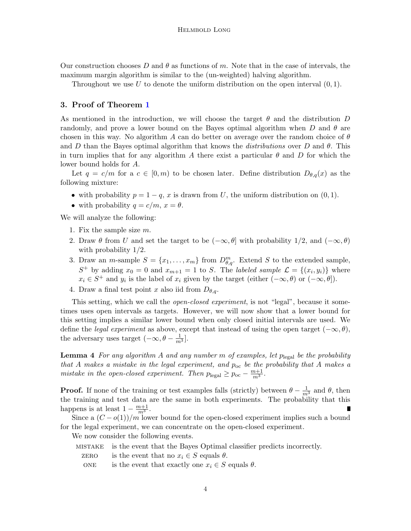Our construction chooses D and  $\theta$  as functions of m. Note that in the case of intervals, the maximum margin algorithm is similar to the (un-weighted) halving algorithm.

Throughout we use U to denote the uniform distribution on the open interval  $(0, 1)$ .

#### 3. Proof of Theorem [1](#page-2-1)

As mentioned in the introduction, we will choose the target  $\theta$  and the distribution D randomly, and prove a lower bound on the Bayes optimal algorithm when D and  $\theta$  are chosen in this way. No algorithm A can do better on average over the random choice of  $\theta$ and D than the Bayes optimal algorithm that knows the distributions over D and  $\theta$ . This in turn implies that for any algorithm A there exist a particular  $\theta$  and D for which the lower bound holds for A.

Let  $q = c/m$  for a  $c \in [0, m)$  to be chosen later. Define distribution  $D_{\theta,q}(x)$  as the following mixture:

- with probability  $p = 1 q$ , x is drawn from U, the uniform distribution on  $(0, 1)$ .
- with probability  $q = c/m$ ,  $x = \theta$ .

We will analyze the following:

- 1. Fix the sample size  $m$ .
- 2. Draw  $\theta$  from U and set the target to be  $(-\infty, \theta]$  with probability 1/2, and  $(-\infty, \theta)$ with probability 1/2.
- 3. Draw an *m*-sample  $S = \{x_1, \ldots, x_m\}$  from  $D_{\theta,q}^m$ . Extend S to the extended sample,  $S^+$  by adding  $x_0 = 0$  and  $x_{m+1} = 1$  to S. The *labeled sample*  $\mathcal{L} = \{(x_i, y_i)\}\$  where  $x_i \in S^+$  and  $y_i$  is the label of  $x_i$  given by the target (either  $(-\infty, \theta)$  or  $(-\infty, \theta]$ ).
- 4. Draw a final test point x also iid from  $D_{\theta,q}$ .

This setting, which we call the *open-closed experiment*, is not "legal", because it sometimes uses open intervals as targets. However, we will now show that a lower bound for this setting implies a similar lower bound when only closed initial intervals are used. We define the *legal experiment* as above, except that instead of using the open target  $(-\infty, \theta)$ , the adversary uses target  $(-\infty, \theta - \frac{1}{m^3}]$ .

**Lemma 4** For any algorithm A and any number m of examples, let  $p_{\text{legal}}$  be the probability that A makes a mistake in the legal experiment, and  $p_{oc}$  be the probability that A makes a mistake in the open-closed experiment. Then  $p_{\text{legal}} \ge p_{\text{oc}} - \frac{m+1}{m^3}$ .

**Proof.** If none of the training or test examples falls (strictly) between  $\theta - \frac{1}{m^3}$  and  $\theta$ , then the training and test data are the same in both experiments. The probability that this happens is at least  $1 - \frac{m+1}{m^3}$ .

Since a  $(C - o(1))/m$  lower bound for the open-closed experiment implies such a bound for the legal experiment, we can concentrate on the open-closed experiment.

We now consider the following events.

- mistake is the event that the Bayes Optimal classifier predicts incorrectly.
	- zERO is the event that no  $x_i \in S$  equals  $\theta$ .
	- ONE is the event that exactly one  $x_i \in S$  equals  $\theta$ .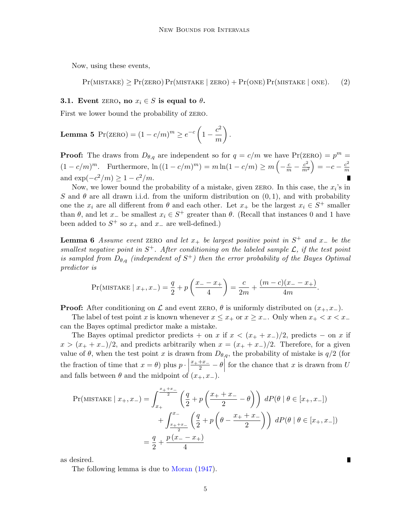Now, using these events,

<span id="page-4-2"></span>
$$
Pr(MISTAKE) \ge Pr(ZERO) Pr(MISTAKE \mid ZERO) + Pr(ONE) Pr(MISTAKE \mid ONE).
$$
 (2)

#### 3.1. Event zERO, no  $x_i \in S$  is equal to  $\theta$ .

<span id="page-4-3"></span>First we lower bound the probability of zero.

#### Lemma 5 Pr(ZERO) =  $(1-c/m)^m \ge e^{-c}\left(1-\frac{c^2}{2}\right)$ m  $\bigg)$  .

**Proof:** The draws from  $D_{\theta,q}$  are independent so for  $q = c/m$  we have  $Pr(ZERO) = p^m =$  $(1 - c/m)^m$ . Furthermore,  $\ln((1 - c/m)^m) = m \ln(1 - c/m) \ge m \left(-\frac{c}{m} - \frac{c^2}{m^2}\right)$  $\left(\frac{c^2}{m^2}\right) = -c - \frac{c^2}{m}$ m and  $\exp(-c^2/m) \ge 1 - c^2/m$ .

Now, we lower bound the probability of a mistake, given zero. In this case, the  $x_i$ 's in S and  $\theta$  are all drawn i.i.d. from the uniform distribution on  $(0, 1)$ , and with probability one the  $x_i$  are all different from  $\theta$  and each other. Let  $x_+$  be the largest  $x_i \in S^+$  smaller than  $\theta$ , and let  $x_-\,$  be smallest  $x_i \in S^+$  greater than  $\theta$ . (Recall that instances 0 and 1 have been added to  $S^+$  so  $x_+$  and  $x_-$  are well-defined.)

<span id="page-4-0"></span>**Lemma 6** Assume event zERO and let  $x_+$  be largest positive point in  $S^+$  and  $x_-$  be the smallest negative point in  $S^+$ . After conditioning on the labeled sample  $\mathcal{L}$ , if the test point is sampled from  $D_{\theta,q}$  (independent of  $S^+$ ) then the error probability of the Bayes Optimal predictor is

$$
Pr(MISTAKE \mid x_{+}, x_{-}) = \frac{q}{2} + p\left(\frac{x_{-} - x_{+}}{4}\right) = \frac{c}{2m} + \frac{(m - c)(x_{-} - x_{+})}{4m}.
$$

**Proof:** After conditioning on  $\mathcal L$  and event zero,  $\theta$  is uniformly distributed on  $(x_+, x_-)$ .

The label of test point x is known whenever  $x \leq x_+$  or  $x \geq x_-$ . Only when  $x_+ < x < x_-$ can the Bayes optimal predictor make a mistake.

The Bayes optimal predictor predicts + on x if  $x < (x_+ + x_-)/2$ , predicts – on x if  $x > (x_{+} + x_{-})/2$ , and predicts arbitrarily when  $x = (x_{+} + x_{-})/2$ . Therefore, for a given value of  $\theta$ , when the test point x is drawn from  $D_{\theta,q}$ , the probability of mistake is  $q/2$  (for the fraction of time that  $x = \theta$ ) plus  $p \cdot \begin{bmatrix} 1 & 1 \\ 0 & 1 \end{bmatrix}$  $\frac{x_+ + x_-}{2} - \theta$ for the chance that  $x$  is drawn from  $U$ and falls between  $\theta$  and the midpoint of  $(x_+, x_-)$ .

$$
\Pr(\text{MISTAKE} \mid x_+, x_-) = \int_{x_+}^{\frac{x_+ + x_-}{2}} \left( \frac{q}{2} + p \left( \frac{x_+ + x_-}{2} - \theta \right) \right) dP(\theta \mid \theta \in [x_+, x_-])
$$
  
+ 
$$
\int_{\frac{x_+ + x_-}{2}}^{x_-} \left( \frac{q}{2} + p \left( \theta - \frac{x_+ + x_-}{2} \right) \right) dP(\theta \mid \theta \in [x_+, x_-])
$$
  
= 
$$
\frac{q}{2} + \frac{p(x_- - x_+)}{4}
$$

as desired.

<span id="page-4-1"></span>The following lemma is due to [Moran](#page-12-13) [\(1947\)](#page-12-13).

П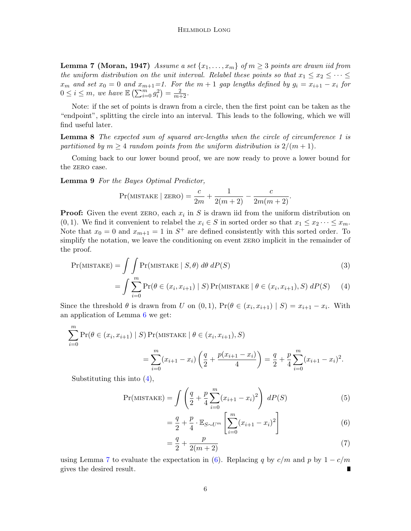**Lemma 7 (Moran, 1947)** Assume a set  $\{x_1, \ldots, x_m\}$  of  $m \geq 3$  points are drawn iid from the uniform distribution on the unit interval. Relabel these points so that  $x_1 \le x_2 \le \cdots \le$  $x_m$  and set  $x_0 = 0$  and  $x_{m+1} = 1$ . For the  $m + 1$  gap lengths defined by  $g_i = x_{i+1} - x_i$  for  $0 \le i \le m$ , we have  $\mathbb{E} \left( \sum_{i=0}^{m} g_i^2 \right) = \frac{2}{m+2}$ .

<span id="page-5-3"></span>Note: if the set of points is drawn from a circle, then the first point can be taken as the "endpoint", splitting the circle into an interval. This leads to the following, which we will find useful later.

**Lemma 8** The expected sum of squared arc-lengths when the circle of circumference 1 is partitioned by  $m \geq 4$  random points from the uniform distribution is  $2/(m+1)$ .

Coming back to our lower bound proof, we are now ready to prove a lower bound for the zERO case.

<span id="page-5-2"></span>Lemma 9 For the Bayes Optimal Predictor,

$$
Pr(MISTAKE \mid ZERO) = \frac{c}{2m} + \frac{1}{2(m+2)} - \frac{c}{2m(m+2)}.
$$

**Proof:** Given the event zERO, each  $x_i$  in S is drawn iid from the uniform distribution on  $(0, 1)$ . We find it convenient to relabel the  $x_i \in S$  in sorted order so that  $x_1 \leq x_2 \cdots \leq x_m$ . Note that  $x_0 = 0$  and  $x_{m+1} = 1$  in  $S^+$  are defined consistently with this sorted order. To simplify the notation, we leave the conditioning on event zero implicit in the remainder of the proof.

$$
Pr(MISTAKE) = \int \int \int \Pr(MISTAKE \mid S, \theta) \, d\theta \, dP(S) \tag{3}
$$

$$
= \int \sum_{i=0}^{m} \Pr(\theta \in (x_i, x_{i+1}) \mid S) \Pr(\text{MISTAKE} \mid \theta \in (x_i, x_{i+1}), S) \, dP(S) \tag{4}
$$

Since the threshold  $\theta$  is drawn from U on  $(0,1)$ ,  $Pr(\theta \in (x_i, x_{i+1}) | S) = x_{i+1} - x_i$ . With an application of Lemma [6](#page-4-0) we get:

$$
\sum_{i=0}^{m} \Pr(\theta \in (x_i, x_{i+1}) \mid S) \Pr(\text{MISTAKE} \mid \theta \in (x_i, x_{i+1}), S)
$$
  
= 
$$
\sum_{i=0}^{m} (x_{i+1} - x_i) \left( \frac{q}{2} + \frac{p(x_{i+1} - x_i)}{4} \right) = \frac{q}{2} + \frac{p}{4} \sum_{i=0}^{m} (x_{i+1} - x_i)^2.
$$

Substituting this into [\(4\)](#page-5-0),

$$
Pr(MISTAKE) = \int \left(\frac{q}{2} + \frac{p}{4} \sum_{i=0}^{m} (x_{i+1} - x_i)^2\right) dP(S)
$$
(5)

<span id="page-5-1"></span><span id="page-5-0"></span>
$$
= \frac{q}{2} + \frac{p}{4} \cdot \mathbb{E}_{S \sim U^m} \left[ \sum_{i=0}^m (x_{i+1} - x_i)^2 \right]
$$
 (6)

$$
=\frac{q}{2} + \frac{p}{2(m+2)}
$$
\n(7)

using Lemma [7](#page-4-1) to evaluate the expectation in [\(6\)](#page-5-1). Replacing q by  $c/m$  and p by  $1 - c/m$ gives the desired result.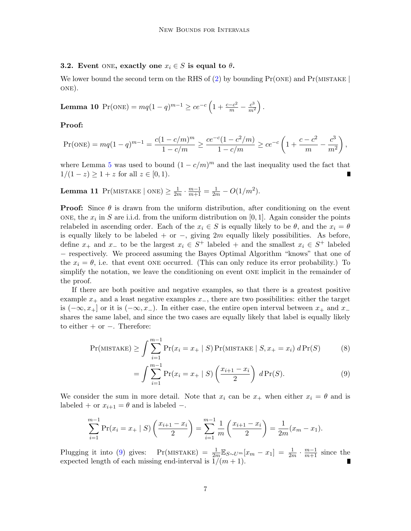## 3.2. Event ONE, exactly one  $x_i \in S$  is equal to  $\theta$ .

We lower bound the second term on the RHS of [\(2\)](#page-4-2) by bounding  $Pr(\text{ONE})$  and  $Pr(\text{MISTAKE} |$ one).

<span id="page-6-1"></span>**Lemma 10** 
$$
Pr(\text{ONE}) = mq(1-q)^{m-1} \ge ce^{-c} \left(1 + \frac{c-c^2}{m} - \frac{c^3}{m^2}\right).
$$

## Proof:

$$
\Pr(\text{ONE}) = mq(1-q)^{m-1} = \frac{c(1-c/m)^m}{1-c/m} \ge \frac{ce^{-c}(1-c^2/m)}{1-c/m} \ge ce^{-c}\left(1+\frac{c-c^2}{m}-\frac{c^3}{m^2}\right),
$$

where Lemma [5](#page-4-3) was used to bound  $(1 - c/m)^m$  and the last inequality used the fact that  $1/(1-z) \geq 1+z$  for all  $z \in [0,1)$ .

<span id="page-6-2"></span>**Lemma 11** Pr(MISTAKE | ONE)  $\geq \frac{1}{2n}$  $\frac{1}{2m} \cdot \frac{m-1}{m+1} = \frac{1}{2m} - O(1/m^2).$ 

**Proof:** Since  $\theta$  is drawn from the uniform distribution, after conditioning on the event ONE, the  $x_i$  in S are i.i.d. from the uniform distribution on [0, 1]. Again consider the points relabeled in ascending order. Each of the  $x_i \in S$  is equally likely to be  $\theta$ , and the  $x_i = \theta$ is equally likely to be labeled + or  $-$ , giving 2m equally likely possibilities. As before, define  $x_+$  and  $x_-$  to be the largest  $x_i \in S^+$  labeled + and the smallest  $x_i \in S^+$  labeled − respectively. We proceed assuming the Bayes Optimal Algorithm "knows" that one of the  $x_i = \theta$ , i.e. that event ONE occurred. (This can only reduce its error probability.) To simplify the notation, we leave the conditioning on event one implicit in the remainder of the proof.

If there are both positive and negative examples, so that there is a greatest positive example  $x_+$  and a least negative examples  $x_-,$  there are two possibilities: either the target is  $(-\infty, x_+]$  or it is  $(-\infty, x_-)$ . In either case, the entire open interval between  $x_+$  and  $x_$ shares the same label, and since the two cases are equally likely that label is equally likely to either  $+$  or  $-$ . Therefore:

$$
\Pr(\text{MISTAKE}) \ge \int \sum_{i=1}^{m-1} \Pr(x_i = x_+ \mid S) \Pr(\text{MISTAKE} \mid S, x_+ = x_i) \, d \Pr(S) \tag{8}
$$

<span id="page-6-0"></span>
$$
= \int \sum_{i=1}^{m-1} \Pr(x_i = x_+ \mid S) \left( \frac{x_{i+1} - x_i}{2} \right) d \Pr(S). \tag{9}
$$

We consider the sum in more detail. Note that  $x_i$  can be  $x_+$  when either  $x_i = \theta$  and is labeled + or  $x_{i+1} = \theta$  and is labeled -.

$$
\sum_{i=1}^{m-1} \Pr(x_i = x_+ \mid S) \left( \frac{x_{i+1} - x_i}{2} \right) = \sum_{i=1}^{m-1} \frac{1}{m} \left( \frac{x_{i+1} - x_i}{2} \right) = \frac{1}{2m} (x_m - x_1).
$$

Plugging it into [\(9\)](#page-6-0) gives: Pr(MISTAKE) =  $\frac{1}{2m} \mathbb{E}_{S \sim U^m}[x_m - x_1] = \frac{1}{2m} \cdot \frac{m-1}{m+1}$  since the expected length of each missing end-interval is  $1/(m + 1)$ .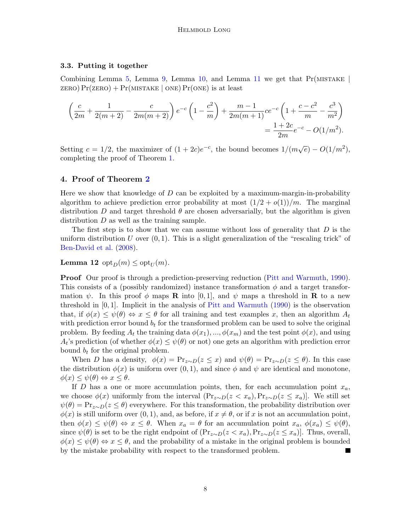## 3.3. Putting it together

Combining Lemma [5,](#page-4-3) Lemma [9,](#page-5-2) Lemma [10,](#page-6-1) and Lemma [11](#page-6-2) we get that  $Pr(MISTAKE |$ zero)  $Pr(\text{zeros}) + Pr(\text{MISTAKE} \mid \text{ONE}) Pr(\text{ONE})$  is at least

$$
\left(\frac{c}{2m} + \frac{1}{2(m+2)} - \frac{c}{2m(m+2)}\right) e^{-c} \left(1 - \frac{c^2}{m}\right) + \frac{m-1}{2m(m+1)} ce^{-c} \left(1 + \frac{c-c^2}{m} - \frac{c^3}{m^2}\right)
$$

$$
= \frac{1+2c}{2m} e^{-c} - O(1/m^2).
$$

Setting  $c = 1/2$ , the maximizer of  $(1 + 2c)e^{-c}$ , the bound becomes  $1/(m\sqrt{e}) - O(1/m^2)$ , completing the proof of Theorem [1.](#page-2-1)

## <span id="page-7-0"></span>4. Proof of Theorem [2](#page-2-0)

Here we show that knowledge of  $D$  can be exploited by a maximum-margin-in-probability algorithm to achieve prediction error probability at most  $\left(\frac{1}{2} + o(1)\right)/m$ . The marginal distribution D and target threshold  $\theta$  are chosen adversarially, but the algorithm is given distribution  $D$  as well as the training sample.

The first step is to show that we can assume without loss of generality that  $D$  is the uniform distribution  $U$  over  $(0, 1)$ . This is a slight generalization of the "rescaling trick" of [Ben-David et al.](#page-12-0) [\(2008\)](#page-12-0).

**Lemma 12** opt<sub>D</sub> $(m) \leq$  opt<sub>U</sub> $(m)$ .

**Proof** Our proof is through a prediction-preserving reduction [\(Pitt and Warmuth,](#page-12-14) [1990\)](#page-12-14). This consists of a (possibly randomized) instance transformation  $\phi$  and a target transformation  $\psi$ . In this proof  $\phi$  maps **R** into [0, 1], and  $\psi$  maps a threshold in **R** to a new threshold in [0, 1]. Implicit in the analysis of [Pitt and Warmuth](#page-12-14) [\(1990\)](#page-12-14) is the observation that, if  $\phi(x) \leq \psi(\theta) \Leftrightarrow x \leq \theta$  for all training and test examples x, then an algorithm  $A_t$ with prediction error bound  $b_t$  for the transformed problem can be used to solve the original problem. By feeding  $A_t$  the training data  $\phi(x_1), ..., \phi(x_m)$  and the test point  $\phi(x)$ , and using  $A_t$ 's prediction (of whether  $\phi(x) \leq \psi(\theta)$  or not) one gets an algorithm with prediction error bound  $b_t$  for the original problem.

When D has a density,  $\phi(x) = \Pr_{z \sim D}(z \leq x)$  and  $\psi(\theta) = \Pr_{z \sim D}(z \leq \theta)$ . In this case the distribution  $\phi(x)$  is uniform over  $(0, 1)$ , and since  $\phi$  and  $\psi$  are identical and monotone,  $\phi(x) \leq \psi(\theta) \Leftrightarrow x \leq \theta.$ 

If D has a one or more accumulation points, then, for each accumulation point  $x_a$ , we choose  $\phi(x)$  uniformly from the interval  $(\Pr_{z \sim D}(z \le x_a), \Pr_{z \sim D}(z \le x_a))$ . We still set  $\psi(\theta) = \Pr_{z \sim D}(z \leq \theta)$  everywhere. For this transformation, the probability distribution over  $\phi(x)$  is still uniform over  $(0, 1)$ , and, as before, if  $x \neq \theta$ , or if x is not an accumulation point, then  $\phi(x) \leq \psi(\theta) \Leftrightarrow x \leq \theta$ . When  $x_a = \theta$  for an accumulation point  $x_a, \phi(x_a) \leq \psi(\theta)$ , since  $\psi(\theta)$  is set to be the right endpoint of  $(\Pr_{z \sim D}(z \le x_a), \Pr_{z \sim D}(z \le x_a)]$ . Thus, overall,  $\phi(x) \leq \psi(\theta) \Leftrightarrow x \leq \theta$ , and the probability of a mistake in the original problem is bounded by the mistake probability with respect to the transformed problem.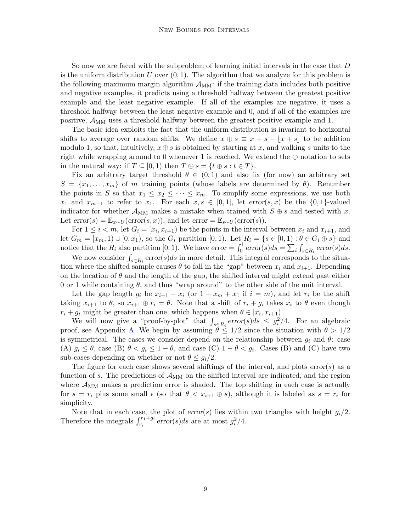So now we are faced with the subproblem of learning initial intervals in the case that D is the uniform distribution U over  $(0, 1)$ . The algorithm that we analyze for this problem is the following maximum margin algorithm  $A_{MM}$ : if the training data includes both positive and negative examples, it predicts using a threshold halfway between the greatest positive example and the least negative example. If all of the examples are negative, it uses a threshold halfway between the least negative example and 0, and if all of the examples are positive,  $A_{MM}$  uses a threshold halfway between the greatest positive example and 1.

The basic idea exploits the fact that the uniform distribution is invariant to horizontal shifts to average over random shifts. We define  $x \oplus s \equiv x + s - |x + s|$  to be addition modulo 1, so that, intuitively,  $x \oplus s$  is obtained by starting at x, and walking s units to the right while wrapping around to 0 whenever 1 is reached. We extend the  $\oplus$  notation to sets in the natural way: if  $T \subseteq [0, 1)$  then  $T \oplus s = \{t \oplus s : t \in T\}.$ 

Fix an arbitrary target threshold  $\theta \in (0,1)$  and also fix (for now) an arbitrary set  $S = \{x_1, \ldots, x_m\}$  of m training points (whose labels are determined by  $\theta$ ). Renumber the points in S so that  $x_1 \le x_2 \le \cdots \le x_m$ . To simplify some expressions, we use both  $x_1$  and  $x_{m+1}$  to refer to  $x_1$ . For each  $x, s \in [0,1]$ , let error $(s, x)$  be the  $\{0, 1\}$ -valued indicator for whether  $\mathcal{A}_{MM}$  makes a mistake when trained with  $S \oplus s$  and tested with x. Let  $error(s) = \mathbb{E}_{x \sim U}(error(s, x))$ , and let  $error = \mathbb{E}_{s \sim U}(error(s))$ .

For  $1 \leq i < m$ , let  $G_i = [x_i, x_{i+1})$  be the points in the interval between  $x_i$  and  $x_{i+1}$ , and let  $G_m = [x_m, 1) \cup [0, x_1)$ , so the  $G_i$  partition  $[0, 1)$ . Let  $R_i = \{s \in [0, 1) : \theta \in G_i \oplus s\}$  and notice that the  $R_i$  also partition [0, 1). We have  $error = \int_0^1 error(s)ds = \sum_i \int_{s \in R_i} error(s)ds$ .

We now consider  $\int_{s \in R_i} error(s)ds$  in more detail. This integral corresponds to the situation where the shifted sample causes  $\theta$  to fall in the "gap" between  $x_i$  and  $x_{i+1}$ . Depending on the location of  $\theta$  and the length of the gap, the shifted interval might extend past either 0 or 1 while containing  $\theta$ , and thus "wrap around" to the other side of the unit interval.

Let the gap length  $g_i$  be  $x_{i+1} - x_i$  (or  $1 - x_m + x_1$  if  $i = m$ ), and let  $r_i$  be the shift taking  $x_{i+1}$  to  $\theta$ , so  $x_{i+1} \oplus r_i = \theta$ . Note that a shift of  $r_i + g_i$  takes  $x_i$  to  $\theta$  even though  $r_i + g_i$  might be greater than one, which happens when  $\theta \in [x_i, x_{i+1})$ .

We will now give a "proof-by-plot" that  $\int_{s \in R_i} \text{error}(s) ds \leq g_i^2/4$ . For an algebraic proof, see Appendix [A.](#page-13-0) We begin by assuming  $\theta \leq 1/2$  since the situation with  $\theta > 1/2$ is symmetrical. The cases we consider depend on the relationship between  $g_i$  and  $\theta$ : case (A)  $g_i \leq \theta$ , case (B)  $\theta < g_i \leq 1 - \theta$ , and case (C)  $1 - \theta < g_i$ . Cases (B) and (C) have two sub-cases depending on whether or not  $\theta \leq g_i/2$ .

The figure for each case shows several shiftings of the interval, and plots  $error(s)$  as a function of s. The predictions of  $A_{MM}$  on the shifted interval are indicated, and the region where  $\mathcal{A}_{MM}$  makes a prediction error is shaded. The top shifting in each case is actually for  $s = r_i$  plus some small  $\epsilon$  (so that  $\theta < x_{i+1} \oplus s$ ), although it is labeled as  $s = r_i$  for simplicity.

Note that in each case, the plot of  $error(s)$  lies within two triangles with height  $g_i/2$ . Therefore the integrals  $\int_{r_i}^{r_1+g_i} error(s)ds$  are at most  $g_i^2/4$ .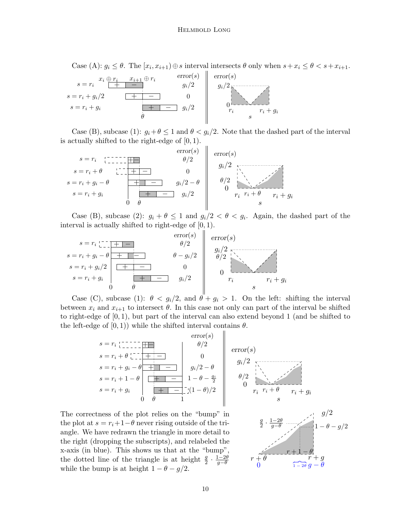Case (A):  $g_i \leq \theta$ . The  $[x_i, x_{i+1}) \oplus s$  interval intersects  $\theta$  only when  $s + x_i \leq \theta < s + x_{i+1}$ .



Case (B), subcase (1):  $g_i + \theta \leq 1$  and  $\theta < g_i/2$ . Note that the dashed part of the interval is actually shifted to the right-edge of  $[0, 1)$ .

$$
s = r_i + \theta \qquad \begin{array}{c} \text{error}(s) \\ \downarrow \\ s = r_i + \theta \qquad \begin{array}{c} \downarrow \\ \downarrow \\ \downarrow \\ \downarrow \end{array} \\ s = r_i + g_i - \theta \qquad \begin{array}{c} \downarrow \\ \downarrow \\ \downarrow \\ \downarrow \\ \downarrow \end{array} \\ \begin{array}{c} \text{error}(s) \\ \theta/2 \\ \downarrow \\ \theta/2 \\ \downarrow \\ \theta/2 \\ \end{array} \\ \begin{array}{c} \text{error}(s) \\ \downarrow \\ \downarrow \\ \downarrow \\ \theta/2 \\ \vdots \\ \theta/2 \\ \end{array} \\ \begin{array}{c} \text{error}(s) \\ \downarrow \\ \downarrow \\ \theta/2 \\ \vdots \\ \theta/2 \\ \vdots \\ \theta/2 \\ \end{array} \\ \begin{array}{c} \text{error}(s) \\ \downarrow \\ \downarrow \\ \downarrow \\ \theta/2 \\ \vdots \\ \theta/2 \\ \vdots \\ \theta/2 \\ \end{array}
$$

Case (B), subcase (2):  $g_i + \theta \leq 1$  and  $g_i/2 < \theta < g_i$ . Again, the dashed part of the interval is actually shifted to right-edge of  $[0, 1)$ .

$$
s = r_i \underbrace{1 - \underbrace{1 + \cdots}_{g = r_i + g_i - \theta} \underbrace{\qquad \qquad}_{f = \underbrace{1 - \cdots}_{g = r_i + g_i/2}} \underbrace{\qquad \qquad}_{g/2} \underbrace{\qquad \qquad}_{g/2} \underbrace{\qquad \qquad}_{g/2} \underbrace{\qquad \qquad}_{g/2} \underbrace{\qquad \qquad}_{g/2} \underbrace{\qquad \qquad}_{g/2} \underbrace{\qquad \qquad}_{r_i \qquad \qquad}_{r_i + g_i}
$$

Case (C), subcase (1):  $\theta < g_i/2$ , and  $\theta + g_i > 1$ . On the left: shifting the interval between  $x_i$  and  $x_{i+1}$  to intersect  $\theta$ . In this case not only can part of the interval be shifted to right-edge of [0, 1), but part of the interval can also extend beyond 1 (and be shifted to the left-edge of  $[0,1)$ ) while the shifted interval contains  $\theta$ .

$$
s = r_i + \theta \underbrace{1 - \dots + \dots + \dots}_{s = r_i + g_i - \theta \underbrace{1 - \dots + \dots}_{s = r_i + g_i} \dots \underbrace{1 - \theta - \frac{g_i}{2}}_{0} \underbrace{1 - \theta - \frac{g_i}{2}}_{0} \underbrace{1 - \theta - \frac{g_i}{2}}_{0} \underbrace{1 - \theta - \frac{g_i}{2}}_{0} \underbrace{1 - \theta - \frac{g_i}{2}}_{r_i - r_i + \theta \underbrace{1 - \dots + \dots}_{r_i + g_i} \dots \underbrace{1 - \theta - \frac{g_i}{2}}_{s}
$$

The correctness of the plot relies on the "bump" in the plot at  $s = r_i+1-\theta$  never rising outside of the triangle. We have redrawn the triangle in more detail to the right (dropping the subscripts), and relabeled the x-axis (in blue). This shows us that at the "bump", the dotted line of the triangle is at height  $\frac{g}{2} \cdot \frac{1-2\theta}{g-\theta}$  $g-\theta$ while the bump is at height  $1 - \theta - g/2$ .

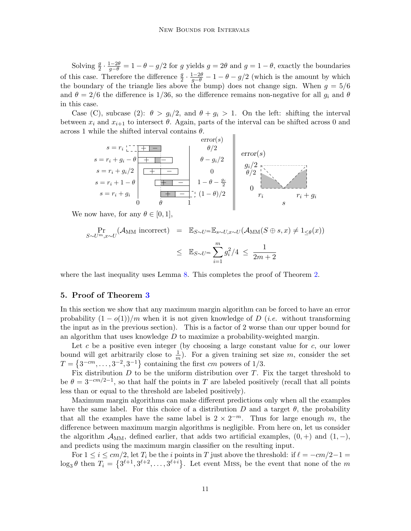Solving  $\frac{g}{2} \cdot \frac{1-2\theta}{g-\theta} = 1 - \theta - g/2$  for g yields  $g = 2\theta$  and  $g = 1 - \theta$ , exactly the boundaries of this case. Therefore the difference  $\frac{g}{2} \cdot \frac{1-2\theta}{g-\theta} - 1 - \theta - g/2$  (which is the amount by which the boundary of the triangle lies above the bump) does not change sign. When  $q = 5/6$ and  $\theta = 2/6$  the difference is 1/36, so the difference remains non-negative for all  $g_i$  and  $\theta$ in this case.

Case (C), subcase (2):  $\theta > g_i/2$ , and  $\theta + g_i > 1$ . On the left: shifting the interval between  $x_i$  and  $x_{i+1}$  to intersect  $\theta$ . Again, parts of the interval can be shifted across 0 and across 1 while the shifted interval contains  $\theta$ .  $\overline{1}$ 

$$
s = r_i + g_i - \theta
$$
  
\n
$$
s = r_i + g_i / 2
$$
  
\n
$$
s = r_i + 1 - \theta
$$
  
\n
$$
s = r_i + 1 - \theta
$$
  
\n
$$
s = r_i + g_i
$$
  
\n
$$
0
$$
  
\n
$$
0
$$
  
\n
$$
0
$$
  
\n
$$
1 - \theta - \frac{g_i}{2}
$$
  
\n
$$
0
$$
  
\n
$$
0/2
$$
  
\n
$$
\theta/2
$$
  
\n
$$
\theta/2
$$
  
\n
$$
\theta/2
$$
  
\n
$$
0/2
$$
  
\n
$$
0/2
$$
  
\n
$$
0/2
$$
  
\n
$$
0/2
$$
  
\n
$$
0/2
$$
  
\n
$$
0/2
$$
  
\n
$$
r_i + g_i
$$

We now have, for any  $\theta \in [0, 1]$ ,

$$
\Pr_{S \sim U^m, x \sim U}(\mathcal{A}_{\text{MM}} \text{ incorrect}) = \mathbb{E}_{S \sim U^m} \mathbb{E}_{s \sim U, x \sim U}(\mathcal{A}_{\text{MM}}(S \oplus s, x) \neq 1_{\leq \theta}(x))
$$
\n
$$
\leq \mathbb{E}_{S \sim U^m} \sum_{i=1}^m g_i^2 / 4 \leq \frac{1}{2m + 2}
$$

where the last inequality uses Lemma [8.](#page-5-3) This completes the proof of Theorem [2.](#page-2-0)

## 5. Proof of Theorem [3](#page-2-2)

In this section we show that any maximum margin algorithm can be forced to have an error probability  $(1 - o(1))/m$  when it is not given knowledge of D (*i.e.* without transforming the input as in the previous section). This is a factor of 2 worse than our upper bound for an algorithm that uses knowledge  $D$  to maximize a probability-weighted margin.

Let c be a positive even integer (by choosing a large constant value for  $c$ , our lower bound will get arbitrarily close to  $\frac{1}{m}$ ). For a given training set size m, consider the set  $T = \{3^{-cm}, \ldots, 3^{-2}, 3^{-1}\}\$ containing the first cm powers of 1/3.

Fix distribution  $D$  to be the uniform distribution over  $T$ . Fix the target threshold to be  $\theta = 3^{-cm/2-1}$ , so that half the points in T are labeled positively (recall that all points less than or equal to the threshold are labeled positively).

Maximum margin algorithms can make different predictions only when all the examples have the same label. For this choice of a distribution D and a target  $\theta$ , the probability that all the examples have the same label is  $2 \times 2^{-m}$ . Thus for large enough m, the difference between maximum margin algorithms is negligible. From here on, let us consider the algorithm  $\mathcal{A}_{MM}$ , defined earlier, that adds two artificial examples,  $(0,+)$  and  $(1,-)$ , and predicts using the maximum margin classifier on the resulting input.

For  $1 \le i \le cm/2$ , let  $T_i$  be the i points in T just above the threshold: if  $\ell = -cm/2-1 =$  $\log_3 \theta$  then  $T_i = \{3^{\ell+1}, 3^{\ell+2}, \ldots, 3^{\ell+i}\}.$  Let event MISS<sub>i</sub> be the event that none of the m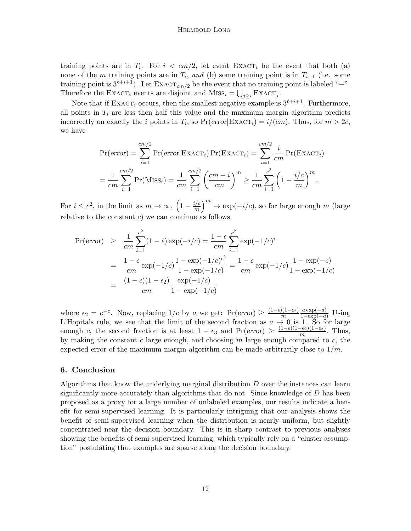#### Helmbold Long

training points are in  $T_i$ . For  $i < cm/2$ , let event EXACT<sub>i</sub> be the event that both (a) none of the m training points are in  $T_i$ , and (b) some training point is in  $T_{i+1}$  (i.e. some training point is  $3^{\ell+i+1}$ ). Let  $\text{EXACT}_{cm/2}$  be the event that no training point is labeled "−". Therefore the EXACT<sub>i</sub> events are disjoint and  $MISS_i = \bigcup_{j\geq i} EXACT_j$ .

Note that if EXACT<sub>i</sub> occurs, then the smallest negative example is  $3^{\ell+i+1}$ . Furthermore, all points in  $T_i$  are less then half this value and the maximum margin algorithm predicts incorrectly on exactly the *i* points in  $T_i$ , so  $Pr(error|EXACT_i) = i/(cm)$ . Thus, for  $m > 2c$ , we have

$$
\Pr(\text{error}) = \sum_{i=1}^{cm/2} \Pr(\text{error} | \text{EXACT}_i) \Pr(\text{EXACT}_i) = \sum_{i=1}^{cm/2} \frac{i}{cm} \Pr(\text{EXACT}_i)
$$

$$
= \frac{1}{cm} \sum_{i=1}^{cm/2} \Pr(\text{MISS}_i) = \frac{1}{cm} \sum_{i=1}^{cm/2} \left(\frac{cm - i}{cm}\right)^m \ge \frac{1}{cm} \sum_{i=1}^{c^2} \left(1 - \frac{i/c}{m}\right)^m.
$$

For  $i \leq c^2$ , in the limit as  $m \to \infty$ ,  $\left(1 - \frac{i/c}{m}\right)$  $\frac{i}{m}$ <sup>m</sup> → exp(-i/c), so for large enough m (large relative to the constant  $c$ ) we can continue as follows.

$$
\begin{aligned} \Pr(\text{error}) &\geq \frac{1}{cm} \sum_{i=1}^{c^2} (1 - \epsilon) \exp(-i/c) = \frac{1 - \epsilon}{cm} \sum_{i=1}^{c^2} \exp(-1/c)^i \\ &= \frac{1 - \epsilon}{cm} \exp(-1/c) \frac{1 - \exp(-1/c)^{c^2}}{1 - \exp(-1/c)} = \frac{1 - \epsilon}{cm} \exp(-1/c) \frac{1 - \exp(-c)}{1 - \exp(-1/c)} \\ &= \frac{(1 - \epsilon)(1 - \epsilon_2)}{cm} \frac{\exp(-1/c)}{1 - \exp(-1/c)} \end{aligned}
$$

where  $\epsilon_2 = e^{-c}$ . Now, replacing  $1/c$  by a we get:  $Pr(error) \geq \frac{(1-\epsilon)(1-\epsilon_2)}{m}$ m  $\frac{a \exp(-a)}{1-\exp(-a)}$  Using L'Hopitals rule, we see that the limit of the second fraction as  $a \to 0$  is 1. So for large enough c, the second fraction is at least  $1 - \epsilon_3$  and  $Pr(error) \ge \frac{(1-\epsilon)(1-\epsilon_2)(1-\epsilon_3)}{m}$  $\frac{-\epsilon_2}{m}$ . Thus, by making the constant c large enough, and choosing  $m$  large enough compared to  $c$ , the expected error of the maximum margin algorithm can be made arbitrarily close to  $1/m$ .

#### 6. Conclusion

Algorithms that know the underlying marginal distribution  $D$  over the instances can learn significantly more accurately than algorithms that do not. Since knowledge of  $D$  has been proposed as a proxy for a large number of unlabeled examples, our results indicate a benefit for semi-supervised learning. It is particularly intriguing that our analysis shows the benefit of semi-supervised learning when the distribution is nearly uniform, but slightly concentrated near the decision boundary. This is in sharp contrast to previous analyses showing the benefits of semi-supervised learning, which typically rely on a "cluster assumption" postulating that examples are sparse along the decision boundary.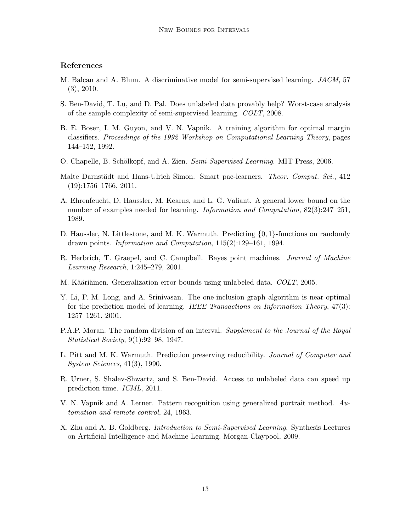# References

- <span id="page-12-8"></span>M. Balcan and A. Blum. A discriminative model for semi-supervised learning. JACM, 57 (3), 2010.
- <span id="page-12-0"></span>S. Ben-David, T. Lu, and D. Pal. Does unlabeled data provably help? Worst-case analysis of the sample complexity of semi-supervised learning. COLT, 2008.
- <span id="page-12-12"></span>B. E. Boser, I. M. Guyon, and V. N. Vapnik. A training algorithm for optimal margin classifiers. Proceedings of the 1992 Workshop on Computational Learning Theory, pages 144–152, 1992.
- <span id="page-12-5"></span>O. Chapelle, B. Schölkopf, and A. Zien. Semi-Supervised Learning. MIT Press, 2006.
- <span id="page-12-7"></span>Malte Darnstädt and Hans-Ulrich Simon. Smart pac-learners. Theor. Comput. Sci., 412 (19):1756–1766, 2011.
- <span id="page-12-4"></span>A. Ehrenfeucht, D. Haussler, M. Kearns, and L. G. Valiant. A general lower bound on the number of examples needed for learning. *Information and Computation*, 82(3):247–251, 1989.
- <span id="page-12-1"></span>D. Haussler, N. Littlestone, and M. K. Warmuth. Predicting {0, 1}-functions on randomly drawn points. Information and Computation, 115(2):129–161, 1994.
- <span id="page-12-2"></span>R. Herbrich, T. Graepel, and C. Campbell. Bayes point machines. Journal of Machine Learning Research, 1:245–279, 2001.
- <span id="page-12-3"></span>M. Kääriäinen. Generalization error bounds using unlabeled data. COLT, 2005.
- <span id="page-12-10"></span>Y. Li, P. M. Long, and A. Srinivasan. The one-inclusion graph algorithm is near-optimal for the prediction model of learning. IEEE Transactions on Information Theory, 47(3): 1257–1261, 2001.
- <span id="page-12-13"></span>P.A.P. Moran. The random division of an interval. Supplement to the Journal of the Royal Statistical Society, 9(1):92–98, 1947.
- <span id="page-12-14"></span>L. Pitt and M. K. Warmuth. Prediction preserving reducibility. Journal of Computer and System Sciences, 41(3), 1990.
- <span id="page-12-9"></span>R. Urner, S. Shalev-Shwartz, and S. Ben-David. Access to unlabeled data can speed up prediction time. ICML, 2011.
- <span id="page-12-11"></span>V. N. Vapnik and A. Lerner. Pattern recognition using generalized portrait method. Automation and remote control, 24, 1963.
- <span id="page-12-6"></span>X. Zhu and A. B. Goldberg. *Introduction to Semi-Supervised Learning*. Synthesis Lectures on Artificial Intelligence and Machine Learning. Morgan-Claypool, 2009.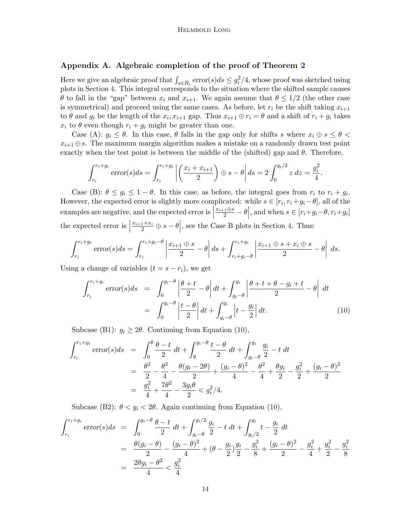## <span id="page-13-0"></span>Appendix A. Algebraic completion of the proof of Theorem [2](#page-2-0)

Here we give an algebraic proof that  $\int_{s \in R_i} error(s)ds \leq g_i^2/4$ , whose proof was sketched using plots in Section [4.](#page-7-0) This integral corresponds to the situation where the shifted sample causes  $\theta$  to fall in the "gap" between  $x_i$  and  $x_{i+1}$ . We again assume that  $\theta \leq 1/2$  (the other case is symmetrical) and proceed using the same cases. As before, let  $r_i$  be the shift taking  $x_{i+1}$ to  $\theta$  and  $g_i$  be the length of the  $x_i, x_{i+1}$  gap. Thus  $x_{i+1} \oplus r_i = \theta$  and a shift of  $r_i + g_i$  takes  $x_i$  to  $\theta$  even though  $r_i + g_i$  might be greater than one.

Case (A):  $g_i \leq \theta$ . In this case,  $\theta$  falls in the gap only for shifts s where  $x_i \oplus s \leq \theta$  $x_{i+1} \oplus s$ . The maximum margin algorithm makes a mistake on a randomly drawn test point exactly when the test point is between the middle of the (shifted) gap and  $\theta$ . Therefore,

$$
\int_{r_i}^{r_i+g_i} \text{error}(s) ds = \int_{r_i}^{r_i+g_i} \left| \left( \frac{x_i + x_{i+1}}{2} \right) \oplus s - \theta \right| ds = 2 \int_0^{g_i/2} z \, dz = \frac{g_i^2}{4}.
$$

Case (B):  $\theta \le g_i \le 1 - \theta$ . In this case, as before, the integral goes from  $r_i$  to  $r_i + g_i$ . However, the expected error is slightly more complicated: while  $s \in [r_i, r_i + g_i - \theta]$ , all of the examples are negative, and the expected error is  $\vert$  $\frac{x_{i+1}\oplus s}{2} - \theta$ , and when  $s \in [r_i+g_i-\theta, r_i+g_i]$ the expected error is  $\Big|$  $\frac{x_{i+1}+x_i}{2} \oplus s - \theta$ , see the Case B plots in Section [4.](#page-7-0) Thus:

$$
\int_{r_i}^{r_i+g_i} \text{error}(s)ds = \int_{r_i}^{r_i+g_i-\theta} \left| \frac{x_{i+1}\oplus s}{2} - \theta \right| ds + \int_{r_i+g_i-\theta}^{r_i+g_i} \left| \frac{x_{i+1}\oplus s+x_i\oplus s}{2} - \theta \right| ds.
$$

Using a change of variables  $(t = s - r_i)$ , we get

<span id="page-13-1"></span>
$$
\int_{r_i}^{r_i+g_i} \text{error}(s)ds = \int_0^{g_i-\theta} \left| \frac{\theta+t}{2} - \theta \right| dt + \int_{g_i-\theta}^{g_i} \left| \frac{\theta+t+\theta-g_i+t}{2} - \theta \right| dt
$$

$$
= \int_0^{g_i-\theta} \left| \frac{t-\theta}{2} \right| dt + \int_{g_i-\theta}^{g_i} \left| t - \frac{g_i}{2} \right| dt. \tag{10}
$$

Subcase (B1):  $g_i \geq 2\theta$ . Continuing from Equation [\(10\)](#page-13-1),

$$
\int_{r_i}^{r_i+g_i} \text{error}(s)ds = \int_0^{\theta} \frac{\theta-t}{2} dt + \int_{\theta}^{g_i-\theta} \frac{t-\theta}{2} dt + \int_{g_i-\theta}^{g_i} \frac{g_i}{2} - t dt
$$
  
=  $\frac{\theta^2}{2} - \frac{\theta^2}{4} - \frac{\theta(g_i-2\theta)}{2} + \frac{(g_i-\theta)^2}{4} - \frac{\theta^2}{4} + \frac{\theta g_i}{2} - \frac{g_i^2}{2} + \frac{(g_i-\theta)^2}{2}$   
=  $\frac{g_i^2}{4} + \frac{7\theta^2}{4} - \frac{3g_i\theta}{2} < g_i^2/4.$ 

Subcase (B2):  $\theta < g_i < 2\theta$ . Again continuing from Equation [\(10\)](#page-13-1),

$$
\int_{r_i}^{r_i+g_i} \text{error}(s)ds = \int_0^{g_i-\theta} \frac{\theta-t}{2} dt + \int_{g_i-\theta}^{g_i/2} \frac{g_i}{2} - t dt + \int_{g_i/2}^{g_i} t - \frac{g_i}{2} dt
$$
  
= 
$$
\frac{\theta(g_i-\theta)}{2} - \frac{(g_i-\theta)^2}{4} + (\theta - \frac{g_i}{2})\frac{g_i}{2} - \frac{g_i^2}{8} + \frac{(g_i-\theta)^2}{2} - \frac{g_i^2}{4} + \frac{g_i^2}{2} - \frac{g_i^2}{8}
$$
  
= 
$$
\frac{2\theta g_i - \theta^2}{4} < \frac{g_i^2}{4}
$$